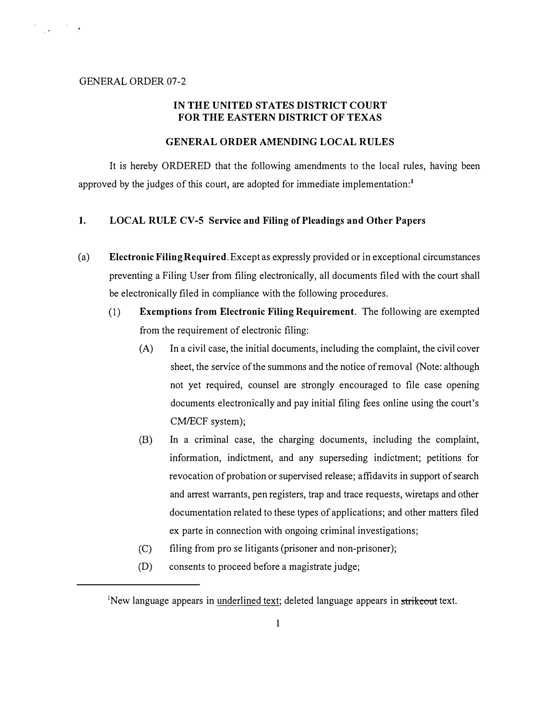# GENERAL ORDER 07-2

 $\label{eq:2} \frac{d}{d\omega}\frac{d\omega}{d\omega} = \frac{d\omega}{d\omega}\frac{d\omega}{d\omega}$ 

# IN THE UNITED STATES DISTRICT COURT FOR THE EASTERN DISTRICT OF TEXAS

### GENERAL ORDER AMENDING LOCAL RULES

It is hereby ORDERED that the following amendments to the local rules, having been approved by the judges of this court, are adopted for immediate implementation:<sup>1</sup>

### 1. LOCAL RULE CV-5 Service and Filing of Pleadings and Other Papers

- (a) Electronic Filing Required. Except as expressly provided or in exceptional circumstances preventing a Filing User from filing electronically, all documents filed with the court shall be electronically filed in compliance with the following procedures.
	- (1) Exemptions from Electronic Filing Requirement. The following are exempted from the requirement of electronic filing:
		- (A) In a civil case, the initial documents, including the complaint, the civil cover sheet, the service of the summons and the notice of removal (Note: although not yet required, counsel are strongly encouraged to file case opening documents electronically and pay initial filing fees online using the court's CM/ECF system);
		- (B) In a criminal case, the charging documents, including the complaint, information, indictment, and any superseding indictment; petitions for revocation of probation or supervised release; affidavits in support of search and arrest warrants, pen registers, trap and trace requests, wiretaps and other documentation related to these types of applications; and other matters filed ex parte in connection with ongoing criminal investigations;
		- (C) filing from pro se litigants (prisoner and non-prisoner);
		- (D) consents to proceed before a magistrate judge;

<sup>&</sup>lt;sup>1</sup>New language appears in underlined text; deleted language appears in strikeout text.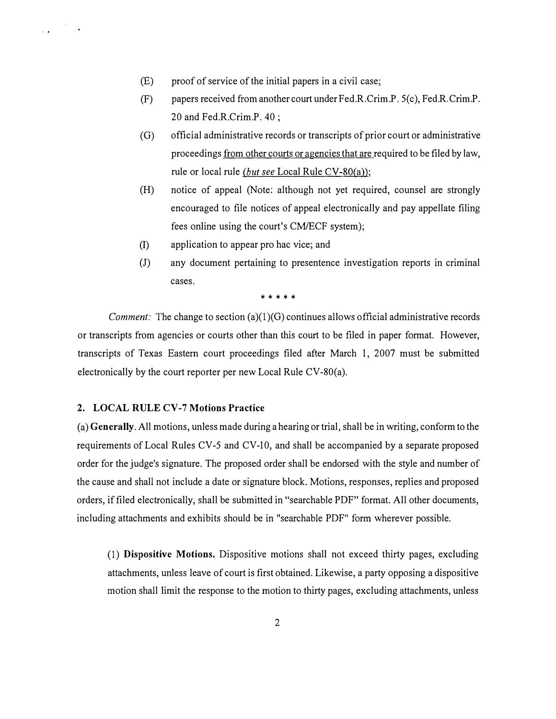- (E) proof of service of the initial papers in a civil case;
- (F) papers received from another court under Fed.R. Crim.P. 5(c), Fed.R. Crim.P. 20 and Fed.R.Crim.P. 40 ;
- (G) official administrative records or transcripts of prior court or administrative proceedings from other courts or agencies that are required to be filed by law, rule or local rule (but see Local Rule CV-80(a));
- (H) notice of appeal (Note: although not yet required, counsel are strongly encouraged to file notices of appeal electronically and pay appellate filing fees online using the court's CM/ECF system);
- (I) application to appear pro hac vice; and
- (J) any document pertaining to presentence investigation reports in criminal cases.

\* \* \* \* \*

*Comment:* The change to section (a)(1)(G) continues allows official administrative records or transcripts from agencies or courts other than this court to be filed in paper format. However, transcripts of Texas Eastern court proceedings filed after March 1, 2007 must be submitted electronically by the court reporter per new Local Rule CV-80(a).

# 2. LOCAL RULE CV-7 Motions Practice

 $\label{eq:2} \frac{1}{\sqrt{2}}\left(\frac{1}{\sqrt{2}}\right)^{1/2}\left(\frac{1}{\sqrt{2}}\right)^{1/2}$ 

(a) Generally. All motions, unless made during a hearing or trial, shall be in writing, conform to the requirements of Local Rules CV-5 and CV-10, and shall be accompanied by a separate proposed order for the judge's signature. The proposed order shall be endorsed with the style and number of the cause and shall not include a date or signature block. Motions, responses, replies and proposed orders, if filed electronically, shall be submitted in "searchable PDF" format. All other documents, including attachments and exhibits should be in "searchable PDF" form wherever possible.

(1) Dispositive Motions. Dispositive motions shall not exceed thirty pages, excluding attachments, unless leave of court is first obtained. Likewise, a party opposing a dispositive motion shall limit the response to the motion to thirty pages, excluding attachments, unless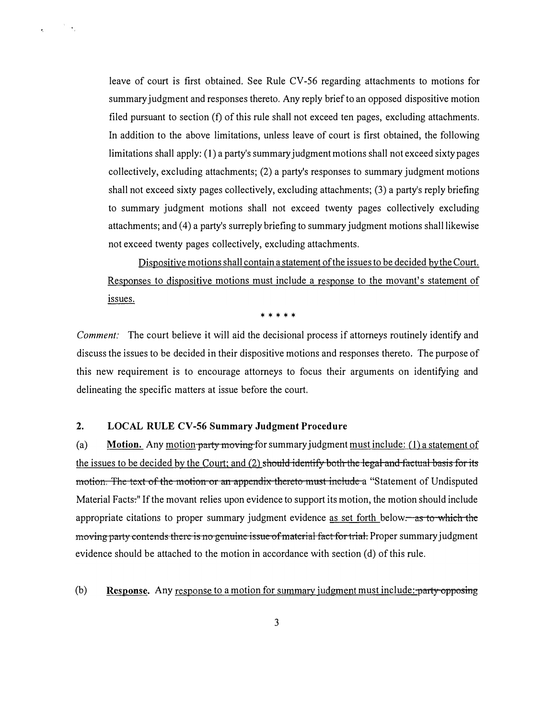leave of court is first obtained. See Rule CV-56 regarding attachments to motions for summary judgment and responses thereto. Any reply brief to an opposed dispositive motion filed pursuant to section (f) of this rule shall not exceed ten pages, excluding attachments. In addition to the above limitations, unless leave of court is first obtained, the following limitations shall apply: ( 1) a party's summary judgment motions shall not exceed sixty pages collectively, excluding attachments; (2) a party's responses to summary judgment motions shall not exceed sixty pages collectively, excluding attachments; (3) a party's reply briefing to summary judgment motions shall not exceed twenty pages collectively excluding attachments; and (4) a party's surreply briefing to summary judgment motions shall likewise not exceed twenty pages collectively, excluding attachments.

Dispositive motions shall contain a statement of the issues to be decided by the Court. Responses to dispositive motions must include a response to the movant's statement of issues.

\* \* \* \* \*

Comment: The court believe it will aid the decisional process if attorneys routinely identify and discuss the issues to be decided in their dispositive motions and responses thereto. The purpose of this new requirement is to encourage attorneys to focus their arguments on identifying and delineating the specific matters at issue before the court.

# 2. LOCAL RULE CV-56 Summary Judgment Procedure

 $\mathcal{F}^{\mathcal{F}}(\mathbf{x})$ 

 $\epsilon_{\rm c}$  .

(a) Motion. Any motion party moving for summary judgment must include: (1) a statement of the issues to be decided by the Court; and  $(2)$  should identify both the legal and factual basis for its motion. The text of the motion or an appendix thereto must include a "Statement of Undisputed Material Facts:" If the movant relies upon evidence to support its motion, the motion should include appropriate citations to proper summary judgment evidence as set forth below. as to which the moving party contends there is no genuine issue of material fact for trial. Proper summary judgment evidence should be attached to the motion in accordance with section (d) of this rule.

(b) Response. Any response to a motion for summary judgment must include: party opposing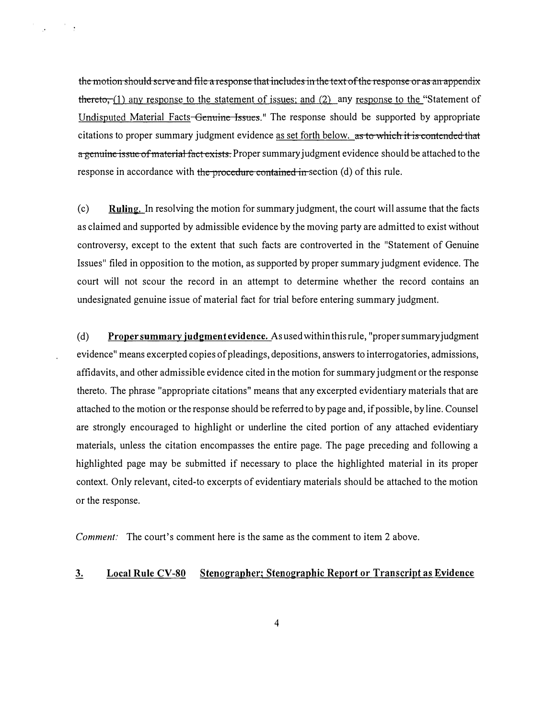the motion should serve and file a response that includes in the text of the response or as an appendix thereto,  $(1)$  any response to the statement of issues; and  $(2)$  any response to the "Statement of Undisputed Material Facts Genuine Issues." The response should be supported by appropriate citations to proper summary judgment evidence as set forth below. as to which it is contended that a genuine issue of material fact exists. Proper summary judgment evidence should be attached to the response in accordance with the procedure contained in section (d) of this rule.

 $\mathcal{L}^{\text{max}}$  , where  $\mathcal{L}^{\text{max}}$ 

(c) Ruling. In resolving the motion for summary judgment, the court will assume that the facts as claimed and supported by admissible evidence by the moving party are admitted to exist without controversy, except to the extent that such facts are controverted in the "Statement of Genuine" Issues" filed in opposition to the motion, as supported by proper summary judgment evidence. The court will not scour the record in an attempt to determine whether the record contains an undesignated genuine issue of material fact for trial before entering summary judgment.

(d) Proper summary judgment evidence. As used within this rule, "proper summary judgment evidence" means excerpted copies of pleadings, depositions, answers to interrogatories, admissions, affidavits, and other admissible evidence cited in the motion for summary judgment or the response thereto. The phrase "appropriate citations" means that any excerpted evidentiary materials that are attached to the motion or the response should be referred to by page and, if possible, by line. Counsel are strongly encouraged to highlight or underline the cited portion of any attached evidentiary materials, unless the citation encompasses the entire page. The page preceding and following a highlighted page may be submitted if necessary to place the highlighted material in its proper context. Only relevant, cited-to excerpts of evidentiary materials should be attached to the motion or the response.

Comment: The court's comment here is the same as the comment to item 2 above.

# 3. Local Rule CV-80 Stenographer; Stenographic Report or Transcript as Evidence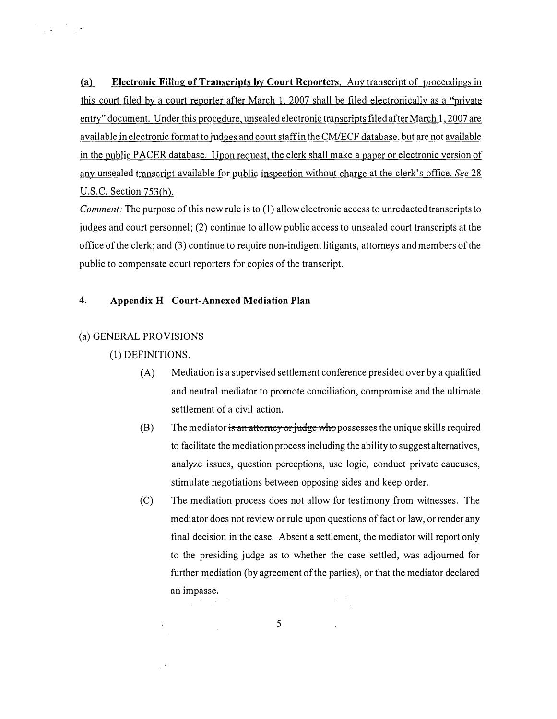(a) Electronic Filing of Transcripts by Court Reporters. Any transcript of proceedings in this court filed by a court reporter after March l, 2007 shall be filed electronically as a "private entry" document. Under this procedure, unsealed electronic transcripts filed after March l, 2007 are available in electronic format to judges and court staff in the CM/ECF database, but are not available in the public PACER database. Upon request, the clerk shall make a paper or electronic version of any unsealed transcript available for public inspection without charge at the clerk's office. See 28 U.S.C. Section 753(b).

Comment: The purpose of this new rule is to (1) allow electronic access to unredacted transcripts to judges and court personnel; (2) continue to allow public access to unsealed court transcripts at the office of the clerk; and (3) continue to require non-indigent litigants, attorneys and members of the public to compensate court reporters for copies of the transcript.

# 4. Appendix H Court-Annexed Mediation Plan

#### (a) GENERAL PROVISIONS

 $\label{eq:2.1} \frac{d\mathbf{r}}{d\mathbf{r}} = \frac{1}{\sqrt{2\pi}}\frac{1}{\sqrt{2\pi}}\frac{d\mathbf{r}}{d\mathbf{r}}\,,$ 

#### (1) DEFINITIONS.

 $\sim$   $^{\circ}$ 

- (A) Mediation is a supervised settlement conference presided over by a qualified and neutral mediator to promote conciliation, compromise and the ultimate settlement of a civil action.
- (B) The mediator is an attorney or judge who possesses the unique skills required to facilitate the mediation process including the ability to suggest alternatives, analyze issues, question perceptions, use logic, conduct private caucuses, stimulate negotiations between opposing sides and keep order.
- (C) The mediation process does not allow for testimony from witnesses. The mediator does not review or rule upon questions of fact or law, or render any final decision in the case. Absent a settlement, the mediator will report only to the presiding judge as to whether the case settled, was adjourned for further mediation (by agreement of the parties), or that the mediator declared an impasse.  $\chi^2/\psi^2$

5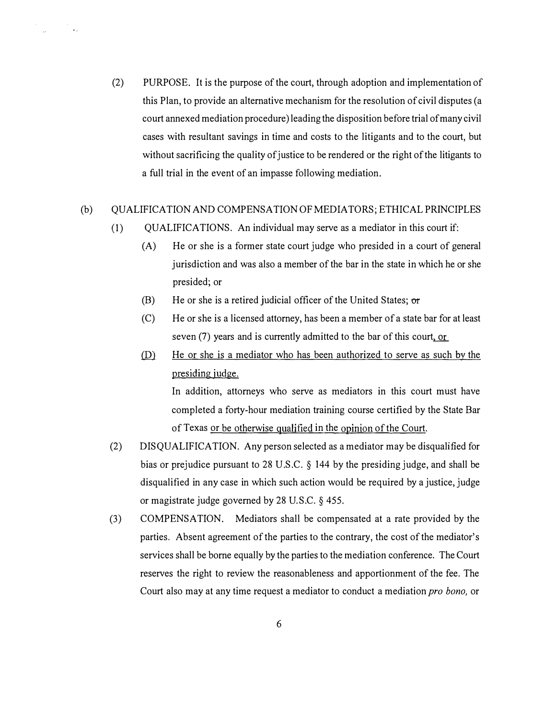(2) PURPOSE. It is the purpose of the court, through adoption and implementation of this Plan, to provide an alternative mechanism for the resolution of civil disputes (a court annexed mediation procedure) leading the disposition before trial of many civil cases with resultant savings in time and costs to the litigants and to the court, but without sacrificing the quality of justice to be rendered or the right of the litigants to a full trial in the event of an impasse following mediation.

#### (b) QUALIFICATION AND COMPENSATION OF MEDIATORS; ETHICAL PRINCIPLES

- (1) QUALIFICATIONS. An individual may serve as a mediator in this court if:
	- (A) He or she is a former state court judge who presided in a court of general jurisdiction and was also a member of the bar in the state in which he or she presided; or
	- (B) He or she is a retired judicial officer of the United States;  $\sigma r$
	- (C) He or she is a licensed attorney, has been a member of a state bar for at least seven (7) years and is currently admitted to the bar of this court, or
	- $\Omega$ . He or she is a mediator who has been authorized to serve as such by the presiding judge.

In addition, attorneys who serve as mediators in this court must have completed a forty-hour mediation training course certified by the State Bar of Texas or be otherwise qualified in the opinion of the Court.

- (2) DISQUALIFICATION. Any person selected as a mediator may be disqualified for bias or prejudice pursuant to 28 U.S.C. § 144 by the presiding judge, and shall be disqualified in any case in which such action would be required by a justice, judge or magistrate judge governed by 28 U.S.C. § 455.
- (3) COMPENSATION. Mediators shall be compensated at a rate provided by the parties. Absent agreement of the parties to the contrary, the cost of the mediator's services shall be borne equally by the parties to the mediation conference. The Court reserves the right to review the reasonableness and apportionment of the fee. The Court also may at any time request a mediator to conduct a mediation *pro bono*, or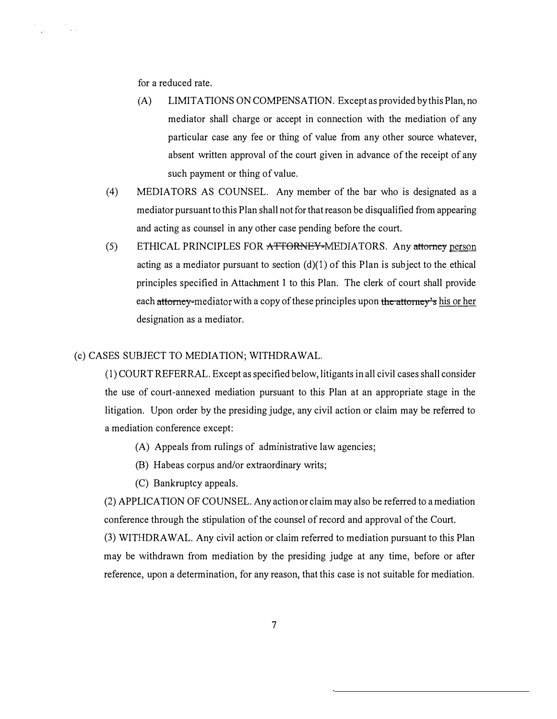for a reduced rate.

 $\label{eq:2.1} \begin{split} \mathcal{F}^{(1)}_{\text{max}}(x) &= \mathcal{F}^{(1)}_{\text{max}}(x)\\ &= \mathcal{F}^{(1)}_{\text{max}}(x) + \mathcal{F}^{(2)}_{\text{max}}(x) \end{split}$ 

- (A) LIMITATIONS ON COMPENSATION. Except as provided by this Plan, no mediator shall charge or accept in connection with the mediation of any particular case any fee or thing of value from any other source whatever, absent written approval of the court given in advance of the receipt of any such payment or thing of value.
- (4) MEDIATORS AS COUNSEL. Any member of the bar who is designated as a mediator pursuant to this Plan shall not for that reason be disqualified from appearing and acting as counsel in any other case pending before the court.
- (5) ETHICAL PRINCIPLES FOR ATTORNEY-MEDIATORS. Any attorney person acting as a mediator pursuant to section  $(d)(1)$  of this Plan is subject to the ethical principles specified in Attachment 1 to this Plan. The clerk of court shall provide each attorney-mediator with a copy of these principles upon the attorney's his or her designation as a mediator.

# (c) CASES SUBJECT TO MEDIATION; WITHDRAWAL.

(1) COURT REFERRAL. Except as specified below, litigants in all civil cases shall consider the use of court-annexed mediation pursuant to this Plan at an appropriate stage in the litigation. Upon order by the presiding judge, any civil action or claim may be referred to a mediation conference except:

- (A) Appeals from rulings of administrative law agencies;
- (B) Habeas corpus and/or extraordinary writs;
- (C) Bankruptcy appeals.

(2) APPLICATION OF COUNSEL. Any action or claim may also be referred to a mediation conference through the stipulation of the counsel of record and approval of the Court. (3) WITHDRAW AL. Any civil action or claim referred to mediation pursuant to this Plan may be withdrawn from mediation by the presiding judge at any time, before or after reference, upon a determination, for any reason, that this case is not suitable for mediation.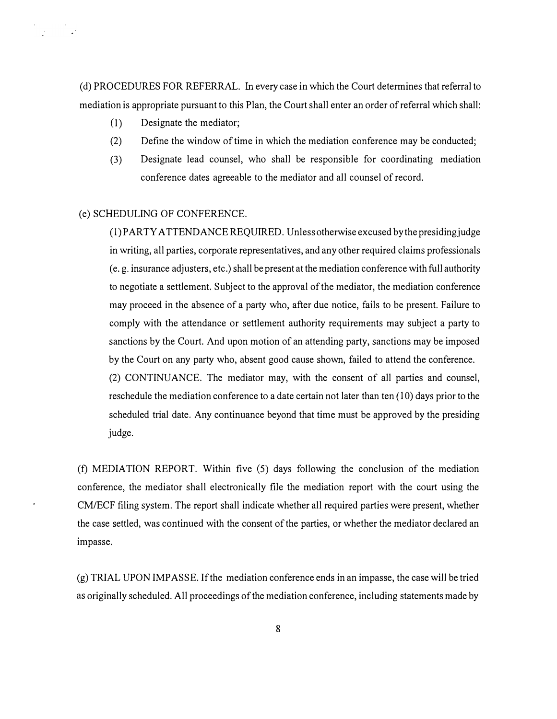( d) PROCEDURES FOR REFERRAL. In every case in which the Court determines that referral to mediation is appropriate pursuant to this Plan, the Court shall enter an order of referral which shall:

- (I) Designate the mediator;
- (2) Define the window of time in which the mediation conference may be conducted;
- (3) Designate lead counsel, who shall be responsible for coordinating mediation conference dates agreeable to the mediator and all counsel of record.

#### (e) SCHEDULING OF CONFERENCE.

(I) PARTY ATTENDANCE REQUIRED. Unless otherwise excused by the presidingjudge in writing, all parties, corporate representatives, and any other required claims professionals (e. g. insurance adjusters, etc.) shall be present at the mediation conference with full authority to negotiate a settlement. Subject to the approval of the mediator, the mediation conference may proceed in the absence of a party who, after due notice, fails to be present. Failure to comply with the attendance or settlement authority requirements may subject a party to sanctions by the Court. And upon motion of an attending party, sanctions may be imposed by the Court on any party who, absent good cause shown, failed to attend the conference. (2) CONTINUANCE. The mediator may, with the consent of all parties and counsel, reschedule the mediation conference to a date certain not later than ten (10) days prior to the scheduled trial date. Any continuance beyond that time must be approved by the presiding judge.

(f) MEDIATION REPORT. Within five (5) days following the conclusion of the mediation conference, the mediator shall electronically file the mediation report with the court using the CM/ECF filing system. The report shall indicate whether all required parties were present, whether the case settled, was continued with the consent of the parties, or whether the mediator declared an impasse.

(g) TRIAL UPON IMPASSE. If the mediation conference ends in an impasse, the case will be tried as originally scheduled. All proceedings of the mediation conference, including statements made by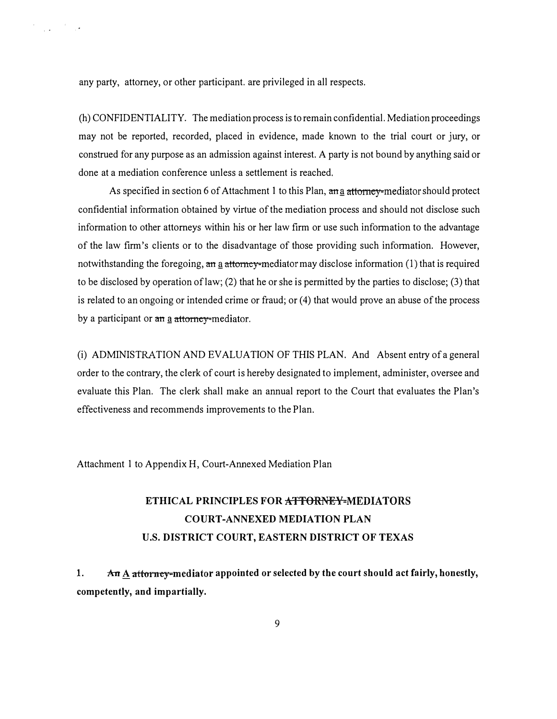any party, attorney, or other participant. are privileged in all respects.

 $\label{eq:2.1} \frac{1}{2} \int_{-\infty}^{\infty} \frac{1}{\sqrt{2\pi}} \int_{-\infty}^{\infty} \frac{1}{\sqrt{2\pi}} \frac{1}{\sqrt{2\pi}} \int_{-\infty}^{\infty} \frac{1}{\sqrt{2\pi}} \frac{1}{\sqrt{2\pi}} \frac{1}{\sqrt{2\pi}} \frac{1}{\sqrt{2\pi}} \frac{1}{\sqrt{2\pi}} \int_{0}^{\infty} \frac{1}{\sqrt{2\pi}} \frac{1}{\sqrt{2\pi}} \frac{1}{\sqrt{2\pi}} \frac{1}{\sqrt{2\pi}} \int_{0}^{\infty} \frac{1$ 

(h) CONFIDENTIALITY. The mediation process is to remain confidential. Mediation proceedings may not be reported, recorded, placed in evidence, made known to the trial court or jury, or construed for any purpose as an admission against interest. A party is not bound by anything said or done at a mediation conference unless a settlement is reached.

As specified in section 6 of Attachment 1 to this Plan,  $\frac{d}{dx}$  attorney-mediator should protect confidential information obtained by virtue of the mediation process and should not disclose such information to other attorneys within his or her law firm or use such information to the advantage of the law firm's clients or to the disadvantage of those providing such information. However, notwithstanding the foregoing, an a attorney-mediator may disclose information  $(1)$  that is required to be disclosed by operation oflaw; (2) that he or she is permitted by the parties to disclose; (3) that is related to an ongoing or intended crime or fraud; or (4) that would prove an abuse of the process by a participant or  $\theta$  attorney-mediator.

(i) ADMINISTRATION AND EVALUATION OF THIS PLAN. And Absent entry of a general order to the contrary, the clerk of court is hereby designated to implement, administer, oversee and evaluate this Plan. The clerk shall make an annual report to the Court that evaluates the Plan's effectiveness and recommends improvements to the Plan.

Attachment I to Appendix H, Court-Annexed Mediation Plan

# ETHICAL PRINCIPLES FOR ATTORNEY-MEDIATORS COURT-ANNEXED MEDIATION PLAN U.S. DISTRICT COURT, EASTERN DISTRICT OF TEXAS

1.  $\pi$  A attorney-mediator appointed or selected by the court should act fairly, honestly, competently, and impartially.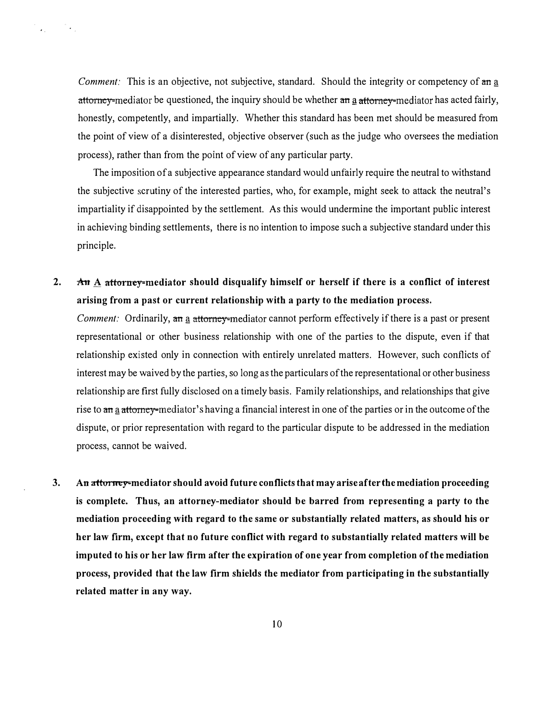Comment: This is an objective, not subjective, standard. Should the integrity or competency of an a attorney-mediator be questioned, the inquiry should be whether an a attorney-mediator has acted fairly, honestly, competently, and impartially. Whether this standard has been met should be measured from the point of view of a disinterested, objective observer (such as the judge who oversees the mediation process), rather than from the point of view of any particular party.

 $\mathcal{L}_{\text{in}} = \mathcal{L}_{\text{out}}$ 

The imposition of a subjective appearance standard would unfairly require the neutral to withstand the subjective scrutiny of the interested parties, who, for example, might seek to attack the neutral's impartiality if disappointed by the settlement. As this would undermine the important public interest in achieving binding settlements, there is no intention to impose such a subjective standard under this principle.

2.  $\forall$  A attorney-mediator should disqualify himself or herself if there is a conflict of interest arising from a past or current relationship with a party to the mediation process.

Comment: Ordinarily, an a attorney-mediator cannot perform effectively if there is a past or present representational or other business relationship with one of the parties to the dispute, even if that relationship existed only in connection with entirely unrelated matters. However, such conflicts of interest may be waived by the parties, so long as the particulars of the representational or other business relationship are first fully disclosed on a timely basis. Family relationships, and relationships that give rise to an a attorney-mediator's having a financial interest in one of the parties or in the outcome of the dispute, or prior representation with regard to the particular dispute to be addressed in the mediation process, cannot be waived.

3. An attorney-mediator should avoid future conflicts that may arise after the mediation proceeding is complete. Thus, an attorney-mediator should be barred from representing a party to the mediation proceeding with regard to the same or substantially related matters, as should his or her law firm, except that no future conflict with regard to substantially related matters will be imputed to his or her law firm after the expiration of one year from completion of the mediation process, provided that the law firm shields the mediator from participating in the substantially related matter in any way.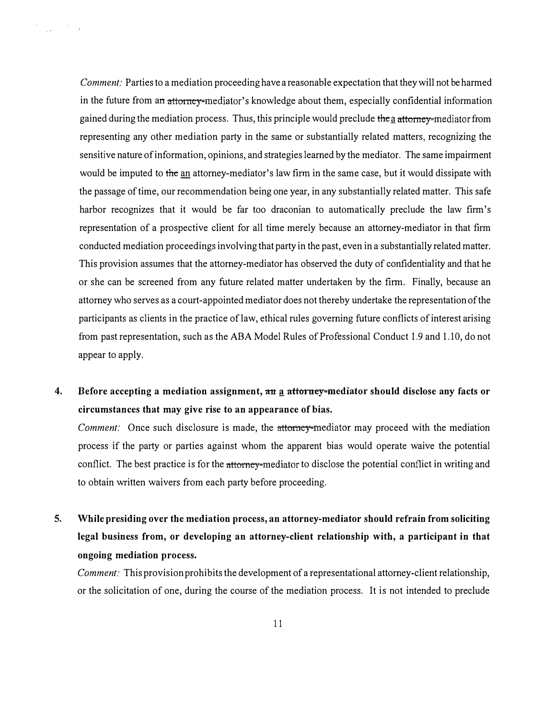Comment: Parties to a mediation proceeding have a reasonable expectation that they will not be harmed in the future from an attorney-mediator's knowledge about them, especially confidential information gained during the mediation process. Thus, this principle would preclude the a attorney-mediator from representing any other mediation party in the same or substantially related matters, recognizing the sensitive nature of information, opinions, and strategies learned by the mediator. The same impairment would be imputed to the an attorney-mediator's law firm in the same case, but it would dissipate with the passage of time, our recommendation being one year, in any substantially related matter. This safe harbor recognizes that it would be far too draconian to automatically preclude the law firm's representation of a prospective client for all time merely because an attorney-mediator in that firm conducted mediation proceedings involving that party in the past, even in a substantially related matter. This provision assumes that the attorney-mediator has observed the duty of confidentiality and that he or she can be screened from any future related matter undertaken by the firm. Finally, because an attorney who serves as a court-appointed mediator does not thereby undertake the representation of the participants as clients in the practice of law, ethical rules governing future conflicts of interest arising from past representation, such as the ABA Model Rules of Professional Conduct 1.9 and 1. 10, do not appear to apply.

 $\label{eq:2.1} \begin{split} \mathcal{L}^{(1)} &= \frac{1}{\sqrt{2\pi}}\left(\frac{1}{\sqrt{2\pi}}\right)^{1/2} \mathcal{L}^{(1)} \end{split}$ 

4. Before accepting a mediation assignment,  $\pi n$  a  $\pi t$  attorney-mediator should disclose any facts or circumstances that may give rise to an appearance of bias.

Comment: Once such disclosure is made, the attorney-mediator may proceed with the mediation process if the party or parties against whom the apparent bias would operate waive the potential conflict. The best practice is for the attorney-mediator to disclose the potential conflict in writing and to obtain written waivers from each party before proceeding.

5. While presiding over the mediation process, an attorney-mediator should refrain from soliciting legal business from, or developing an attorney-client relationship with, a participant in that ongoing mediation process.

Comment: This provision prohibits the development of a representational attorney-client relationship, or the solicitation of one, during the course of the mediation process. It is not intended to preclude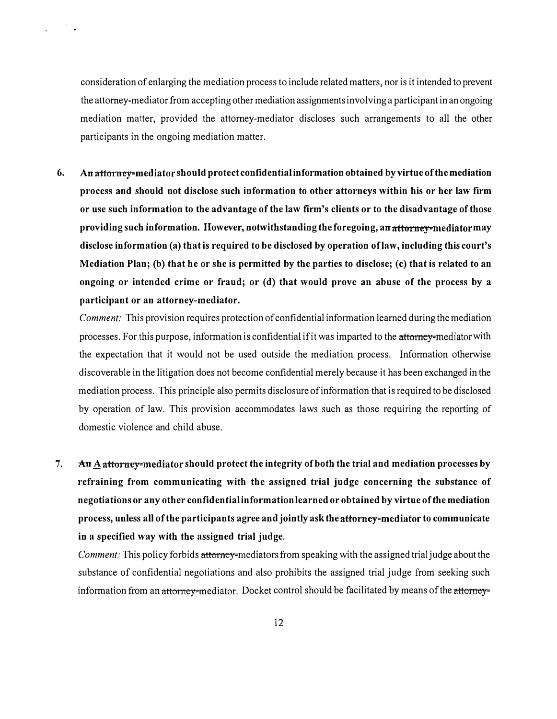consideration of enlarging the mediation process to include related matters, nor is it intended to prevent the attorney-mediator from accepting other mediation assignments involving a participant in an ongoing mediation matter, provided the attorney-mediator discloses such arrangements to all the other participants in the ongoing mediation matter.

6. An attorney-mediator should protect confidential information obtained by virtue of the mediation process and should not disclose such information to other attorneys within his or her law firm or use such information to the advantage of the law firm's clients or to the disadvantage of those providing such information. However, notwithstanding the foregoing, an attorney-mediator may disclose information (a) that is required to be disclosed by operation of law, including this court's Mediation Plan; (b) that he or she is permitted by the parties to disclose; (c) that is related to an ongoing or intended crime or fraud; or (d) that would prove an abuse of the process by a participant or an attorney-mediator.

Comment: This provision requires protection of confidential information learned during the mediation processes. For this purpose, information is confidential if it was imparted to the attorney-mediator with the expectation that it would not be used outside the mediation process. Information otherwise discoverable in the litigation does not become confidential merely because it has been exchanged in the mediation process. This principle also permits disclosure of information that is required to be disclosed by operation of law. This provision accommodates laws such as those requiring the reporting of domestic violence and child abuse.

7.  $\mathbf{A} \mathbf{n} \underline{\mathbf{A}}$  attorney-mediator should protect the integrity of both the trial and mediation processes by refraining from communicating with the assigned trial judge concerning the substance of negotiations or any other confidential information learned or obtained by virtue of the mediation process, unless all of the participants agree and jointly ask the attorney-mediator to communicate in a specified way with the assigned trial judge.

Comment: This policy forbids attorney-mediators from speaking with the assigned trial judge about the substance of confidential negotiations and also prohibits the assigned trial judge from seeking such information from an attorney-mediator. Docket control should be facilitated by means of the attorney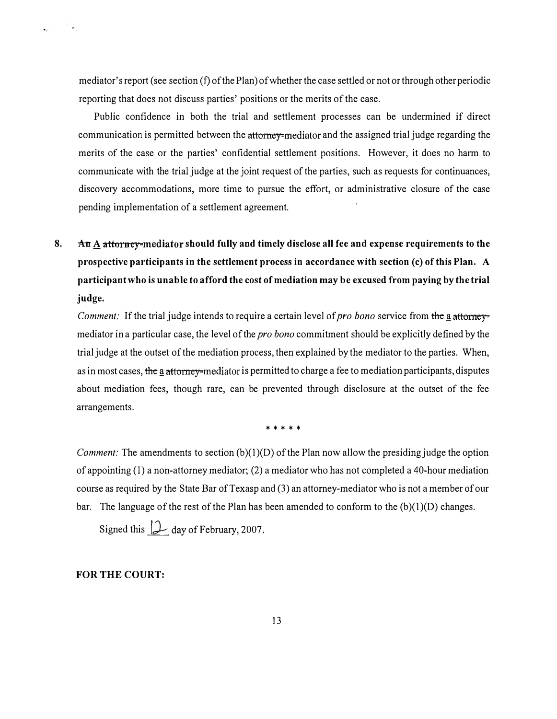mediator's report (see section (f) of the Plan) of whether the case settled or not or through other periodic reporting that does not discuss parties' positions or the merits of the case.

Public confidence in both the trial and settlement processes can be undermined if direct communication is permitted between the attorney-mediator and the assigned trial judge regarding the merits of the case or the parties' confidential settlement positions. However, it does no harm to communicate with the trial judge at the joint request of the parties, such as requests for continuances, discovery accommodations, more time to pursue the effort, or administrative closure of the case pending implementation of a settlement agreement.

# 8.  $\Delta n$   $\Delta$  attorney-mediator should fully and timely disclose all fee and expense requirements to the prospective participants in the settlement process in accordance with section (c) of this Plan. A participant who is unable to afford the cost of mediation may be excused from paying by the trial judge.

Comment: If the trial judge intends to require a certain level of pro bono service from the a attorneymediator in a particular case, the level of the *pro bono* commitment should be explicitly defined by the trial judge at the outset of the mediation process, then explained by the mediator to the parties. When, as in most cases, the a attorney-mediator is permitted to charge a fee to mediation participants, disputes about mediation fees, though rare, can be prevented through disclosure at the outset of the fee arrangements.

\* \* \* \* \*

*Comment:* The amendments to section  $(b)(1)(D)$  of the Plan now allow the presiding judge the option of appointing  $(1)$  a non-attorney mediator;  $(2)$  a mediator who has not completed a 40-hour mediation course as required by the State Bar of Texasp and (3) an attorney-mediator who is not a member of our bar. The language of the rest of the Plan has been amended to conform to the  $(b)(1)(D)$  changes.

Signed this  $\downarrow$  day of February, 2007.

# FOR THE COURT: